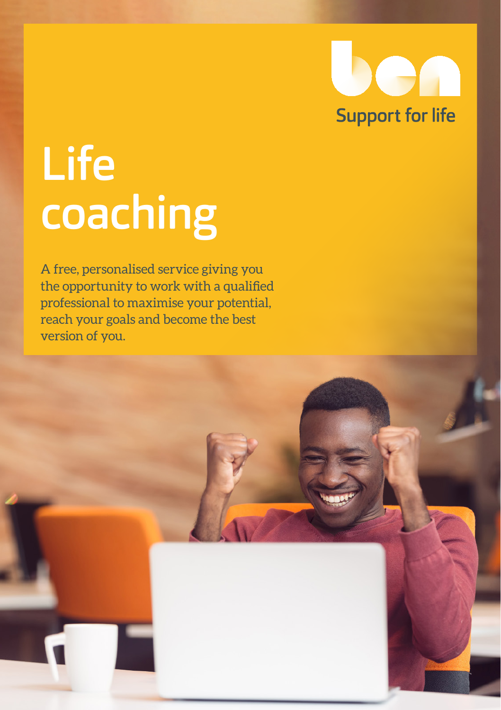

# Life coaching

A free, personalised service giving you the opportunity to work with a qualified professional to maximise your potential, reach your goals and become the best version of you.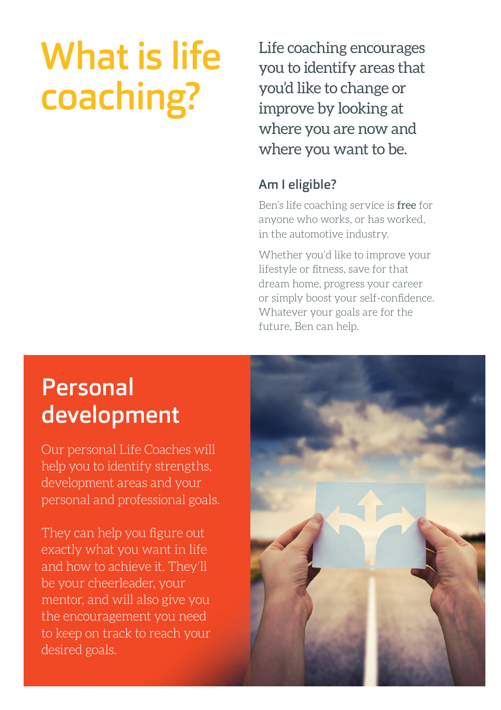## What is life coaching?

Life coaching encourages you to identify areas that you'd like to change or improve by looking at where you are now and where you want to be.

#### Am I eligible?

Ben's life coaching service is free for anyone who works, or has worked, in the automotive industry.

Whether you'd like to improve your lifestyle or fitness, save for that dream home, progress your career or simply boost your self-confidence. Whatever your goals are for the future, Ben can help.

## Personal development

Our personal Life Coaches will help you to identify strengths, development areas and your personal and professional goals.

They can help you figure out exactly what you want in life and how to achieve it. They'll be your cheerleader, your mentor, and will also give you the encouragement you need to keep on track to reach your desired goals.

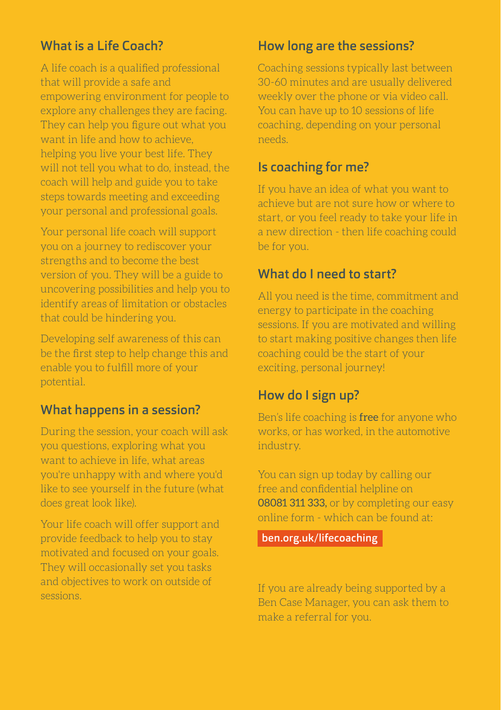#### What is a Life Coach?

A life coach is a qualified professional that will provide a safe and empowering environment for people to explore any challenges they are facing. They can help you figure out what you want in life and how to achieve, helping you live your best life. They will not tell you what to do, instead, the coach will help and guide you to take steps towards meeting and exceeding your personal and professional goals.

Your personal life coach will support you on a journey to rediscover your strengths and to become the best version of you. They will be a guide to uncovering possibilities and help you to identify areas of limitation or obstacles that could be hindering you.

Developing self awareness of this can be the first step to help change this and enable you to fulfill more of your potential.

#### What happens in a session?

During the session, your coach will ask you questions, exploring what you want to achieve in life, what areas you're unhappy with and where you'd like to see yourself in the future (what does great look like).

Your life coach will offer support and provide feedback to help you to stay motivated and focused on your goals. They will occasionally set you tasks and objectives to work on outside of sessions.

#### How long are the sessions?

Coaching sessions typically last between 30-60 minutes and are usually delivered weekly over the phone or via video call. You can have up to 10 sessions of life coaching, depending on your personal needs.

#### Is coaching for me?

If you have an idea of what you want to achieve but are not sure how or where to start, or you feel ready to take your life in a new direction - then life coaching could be for you.

#### What do I need to start?

All you need is the time, commitment and energy to participate in the coaching sessions. If you are motivated and willing to start making positive changes then life coaching could be the start of your exciting, personal journey!

#### How do I sign up?

Ben's life coaching is free for anyone who works, or has worked, in the automotive industry.

You can sign up today by calling our free and confidential helpline on 08081 311 333, or by completing our easy online form - which can be found at:

[ben.org.uk/lifecoaching](www.ben.org.uk/lifecoaching)

If you are already being supported by a Ben Case Manager, you can ask them to make a referral for you.